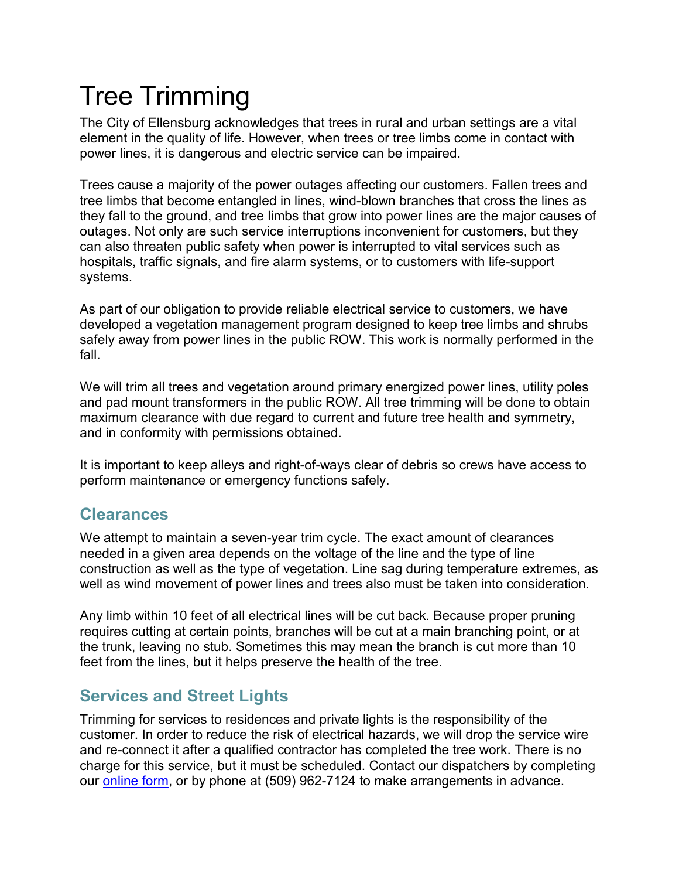# Tree Trimming

The City of Ellensburg acknowledges that trees in rural and urban settings are a vital element in the quality of life. However, when trees or tree limbs come in contact with power lines, it is dangerous and electric service can be impaired.

Trees cause a majority of the power outages affecting our customers. Fallen trees and tree limbs that become entangled in lines, wind-blown branches that cross the lines as they fall to the ground, and tree limbs that grow into power lines are the major causes of outages. Not only are such service interruptions inconvenient for customers, but they can also threaten public safety when power is interrupted to vital services such as hospitals, traffic signals, and fire alarm systems, or to customers with life-support systems.

As part of our obligation to provide reliable electrical service to customers, we have developed a vegetation management program designed to keep tree limbs and shrubs safely away from power lines in the public ROW. This work is normally performed in the fall.

We will trim all trees and vegetation around primary energized power lines, utility poles and pad mount transformers in the public ROW. All tree trimming will be done to obtain maximum clearance with due regard to current and future tree health and symmetry, and in conformity with permissions obtained.

It is important to keep alleys and right-of-ways clear of debris so crews have access to perform maintenance or emergency functions safely.

#### **Clearances**

We attempt to maintain a seven-year trim cycle. The exact amount of clearances needed in a given area depends on the voltage of the line and the type of line construction as well as the type of vegetation. Line sag during temperature extremes, as well as wind movement of power lines and trees also must be taken into consideration.

Any limb within 10 feet of all electrical lines will be cut back. Because proper pruning requires cutting at certain points, branches will be cut at a main branching point, or at the trunk, leaving no stub. Sometimes this may mean the branch is cut more than 10 feet from the lines, but it helps preserve the health of the tree.

## **Services and Street Lights**

Trimming for services to residences and private lights is the responsibility of the customer. In order to reduce the risk of electrical hazards, we will drop the service wire and re-connect it after a qualified contractor has completed the tree work. There is no charge for this service, but it must be scheduled. Contact our dispatchers by completing our [online form,](https://ci.ellensburg.wa.us/forms.aspx?fid=60) or by phone at (509) 962-7124 to make arrangements in advance.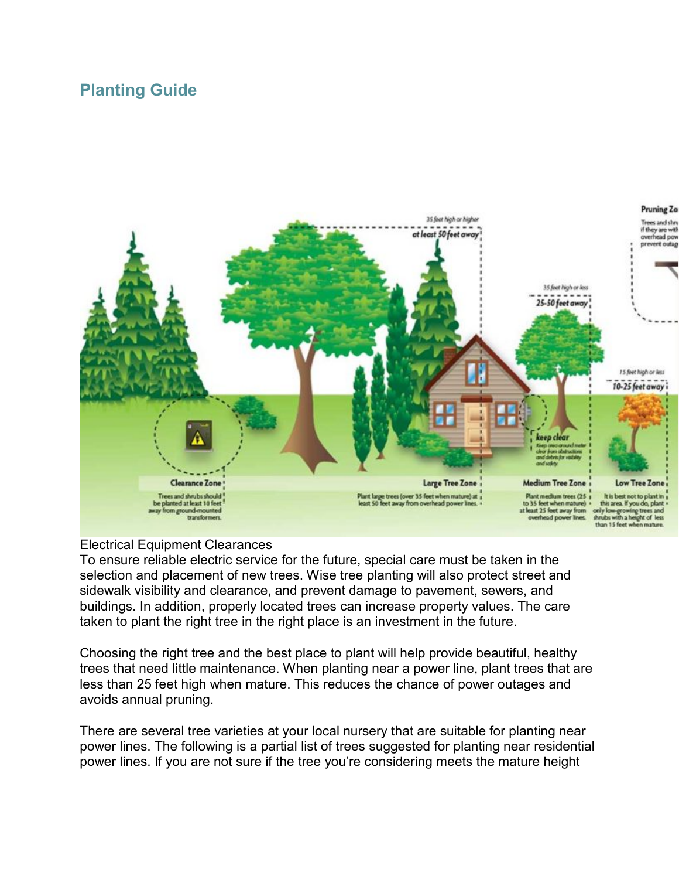### **Planting Guide**



#### Electrical Equipment Clearances

To ensure reliable electric service for the future, special care must be taken in the selection and placement of new trees. Wise tree planting will also protect street and sidewalk visibility and clearance, and prevent damage to pavement, sewers, and buildings. In addition, properly located trees can increase property values. The care taken to plant the right tree in the right place is an investment in the future.

Choosing the right tree and the best place to plant will help provide beautiful, healthy trees that need little maintenance. When planting near a power line, plant trees that are less than 25 feet high when mature. This reduces the chance of power outages and avoids annual pruning.

There are several tree varieties at your local nursery that are suitable for planting near power lines. The following is a partial list of trees suggested for planting near residential power lines. If you are not sure if the tree you're considering meets the mature height